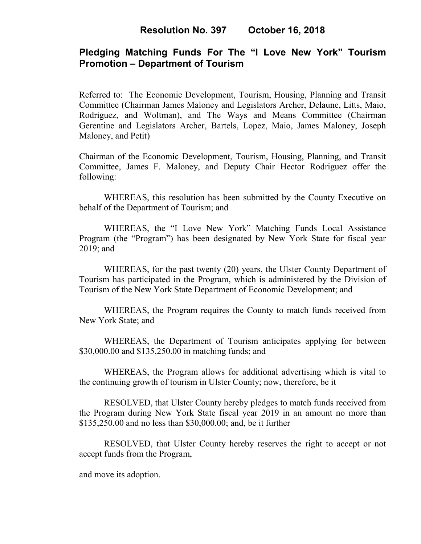# **Pledging Matching Funds For The "I Love New York" Tourism Promotion – Department of Tourism**

Referred to: The Economic Development, Tourism, Housing, Planning and Transit Committee (Chairman James Maloney and Legislators Archer, Delaune, Litts, Maio, Rodriguez, and Woltman), and The Ways and Means Committee (Chairman Gerentine and Legislators Archer, Bartels, Lopez, Maio, James Maloney, Joseph Maloney, and Petit)

Chairman of the Economic Development, Tourism, Housing, Planning, and Transit Committee, James F. Maloney, and Deputy Chair Hector Rodriguez offer the following:

WHEREAS, this resolution has been submitted by the County Executive on behalf of the Department of Tourism; and

WHEREAS, the "I Love New York" Matching Funds Local Assistance Program (the "Program") has been designated by New York State for fiscal year 2019; and

WHEREAS, for the past twenty (20) years, the Ulster County Department of Tourism has participated in the Program, which is administered by the Division of Tourism of the New York State Department of Economic Development; and

WHEREAS, the Program requires the County to match funds received from New York State; and

WHEREAS, the Department of Tourism anticipates applying for between \$30,000.00 and \$135,250.00 in matching funds; and

WHEREAS, the Program allows for additional advertising which is vital to the continuing growth of tourism in Ulster County; now, therefore, be it

RESOLVED, that Ulster County hereby pledges to match funds received from the Program during New York State fiscal year 2019 in an amount no more than \$135,250.00 and no less than \$30,000.00; and, be it further

RESOLVED, that Ulster County hereby reserves the right to accept or not accept funds from the Program,

and move its adoption.